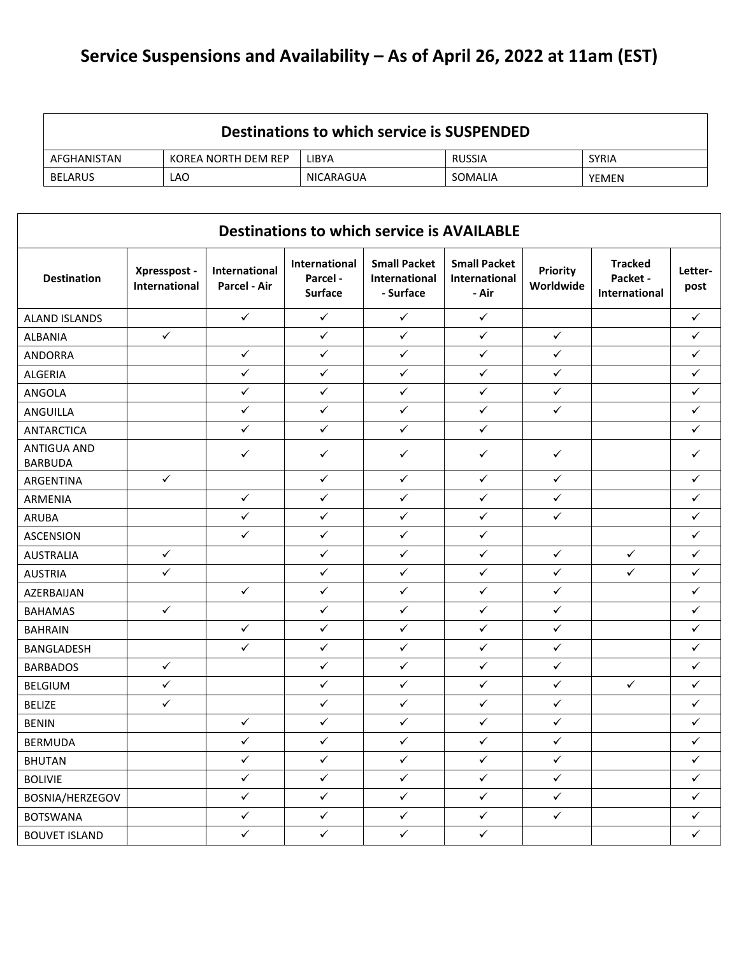## **Service Suspensions and Availability – As of April 26, 2022 at 11am (EST)**

| Destinations to which service is SUSPENDED |                     |           |               |              |  |  |  |  |
|--------------------------------------------|---------------------|-----------|---------------|--------------|--|--|--|--|
| AFGHANISTAN                                | KOREA NORTH DEM REP | LIBYA     | <b>RUSSIA</b> | <b>SYRIA</b> |  |  |  |  |
| BELARUS                                    | LAO                 | NICARAGUA | SOMALIA       | <b>YEMEN</b> |  |  |  |  |

|                                      |                               |                               |                                            | <b>Destinations to which service is AVAILABLE</b> |                                               |                       |                                                    |                 |
|--------------------------------------|-------------------------------|-------------------------------|--------------------------------------------|---------------------------------------------------|-----------------------------------------------|-----------------------|----------------------------------------------------|-----------------|
| <b>Destination</b>                   | Xpresspost -<br>International | International<br>Parcel - Air | International<br>Parcel-<br><b>Surface</b> | <b>Small Packet</b><br>International<br>- Surface | <b>Small Packet</b><br>International<br>- Air | Priority<br>Worldwide | <b>Tracked</b><br>Packet -<br><b>International</b> | Letter-<br>post |
| <b>ALAND ISLANDS</b>                 |                               | $\checkmark$                  | $\checkmark$                               | $\checkmark$                                      | $\checkmark$                                  |                       |                                                    | $\checkmark$    |
| <b>ALBANIA</b>                       | $\checkmark$                  |                               | $\checkmark$                               | $\checkmark$                                      | $\checkmark$                                  | $\checkmark$          |                                                    | $\checkmark$    |
| <b>ANDORRA</b>                       |                               | $\checkmark$                  | $\checkmark$                               | $\checkmark$                                      | $\checkmark$                                  | $\checkmark$          |                                                    | ✓               |
| <b>ALGERIA</b>                       |                               | $\checkmark$                  | $\checkmark$                               | ✓                                                 | ✓                                             | $\checkmark$          |                                                    | $\checkmark$    |
| ANGOLA                               |                               | $\checkmark$                  | $\checkmark$                               | $\checkmark$                                      | $\checkmark$                                  | $\checkmark$          |                                                    | $\checkmark$    |
| ANGUILLA                             |                               | $\checkmark$                  | $\checkmark$                               | $\checkmark$                                      | $\checkmark$                                  | $\checkmark$          |                                                    | ✓               |
| <b>ANTARCTICA</b>                    |                               | $\checkmark$                  | $\checkmark$                               | $\checkmark$                                      | $\checkmark$                                  |                       |                                                    | ✓               |
| <b>ANTIGUA AND</b><br><b>BARBUDA</b> |                               | $\checkmark$                  | $\checkmark$                               | $\checkmark$                                      | ✓                                             | $\checkmark$          |                                                    | ✓               |
| ARGENTINA                            | $\checkmark$                  |                               | $\checkmark$                               | $\checkmark$                                      | ✓                                             | $\checkmark$          |                                                    | ✓               |
| ARMENIA                              |                               | $\checkmark$                  | $\checkmark$                               | $\checkmark$                                      | ✓                                             | $\checkmark$          |                                                    | $\checkmark$    |
| ARUBA                                |                               | $\checkmark$                  | $\checkmark$                               | ✓                                                 | ✓                                             | $\checkmark$          |                                                    | ✓               |
| <b>ASCENSION</b>                     |                               | $\checkmark$                  | $\checkmark$                               | $\checkmark$                                      | $\checkmark$                                  |                       |                                                    | $\checkmark$    |
| <b>AUSTRALIA</b>                     | $\checkmark$                  |                               | $\checkmark$                               | $\checkmark$                                      | $\checkmark$                                  | $\checkmark$          | $\checkmark$                                       | $\checkmark$    |
| <b>AUSTRIA</b>                       | $\checkmark$                  |                               | $\checkmark$                               | ✓                                                 | ✓                                             | $\checkmark$          | $\checkmark$                                       | ✓               |
| AZERBAIJAN                           |                               | $\checkmark$                  | $\checkmark$                               | $\checkmark$                                      | ✓                                             | $\checkmark$          |                                                    | ✓               |
| <b>BAHAMAS</b>                       | $\checkmark$                  |                               | $\checkmark$                               | $\checkmark$                                      | $\checkmark$                                  | $\checkmark$          |                                                    | ✓               |
| <b>BAHRAIN</b>                       |                               | $\checkmark$                  | $\checkmark$                               | $\checkmark$                                      | $\checkmark$                                  | $\checkmark$          |                                                    | ✓               |
| BANGLADESH                           |                               | $\checkmark$                  | $\checkmark$                               | $\checkmark$                                      | ✓                                             | $\checkmark$          |                                                    | ✓               |
| <b>BARBADOS</b>                      | $\checkmark$                  |                               | ✓                                          | $\checkmark$                                      | ✓                                             | $\checkmark$          |                                                    | $\checkmark$    |
| <b>BELGIUM</b>                       | $\checkmark$                  |                               | $\checkmark$                               | $\checkmark$                                      | ✓                                             | $\checkmark$          | $\checkmark$                                       | ✓               |
| <b>BELIZE</b>                        | $\checkmark$                  |                               | $\checkmark$                               | $\checkmark$                                      | $\checkmark$                                  | $\checkmark$          |                                                    | $\checkmark$    |
| <b>BENIN</b>                         |                               | ✓                             | $\checkmark$                               | $\checkmark$                                      | ✓                                             | $\checkmark$          |                                                    | ✓               |
| <b>BERMUDA</b>                       |                               | $\checkmark$                  | $\checkmark$                               | $\checkmark$                                      | ✓                                             | $\checkmark$          |                                                    | ✓               |
| <b>BHUTAN</b>                        |                               | $\checkmark$                  | $\checkmark$                               | $\checkmark$                                      | $\checkmark$                                  | $\checkmark$          |                                                    | $\checkmark$    |
| <b>BOLIVIE</b>                       |                               | $\checkmark$                  | $\checkmark$                               | $\checkmark$                                      | $\checkmark$                                  | $\checkmark$          |                                                    | ✓               |
| BOSNIA/HERZEGOV                      |                               | $\checkmark$                  | $\checkmark$                               | $\checkmark$                                      | ✓                                             | ✓                     |                                                    | ✓               |
| <b>BOTSWANA</b>                      |                               | $\checkmark$                  | $\checkmark$                               | $\checkmark$                                      | ✓                                             | $\checkmark$          |                                                    | ✓               |
| <b>BOUVET ISLAND</b>                 |                               | $\checkmark$                  | $\checkmark$                               | $\checkmark$                                      | $\checkmark$                                  |                       |                                                    | $\checkmark$    |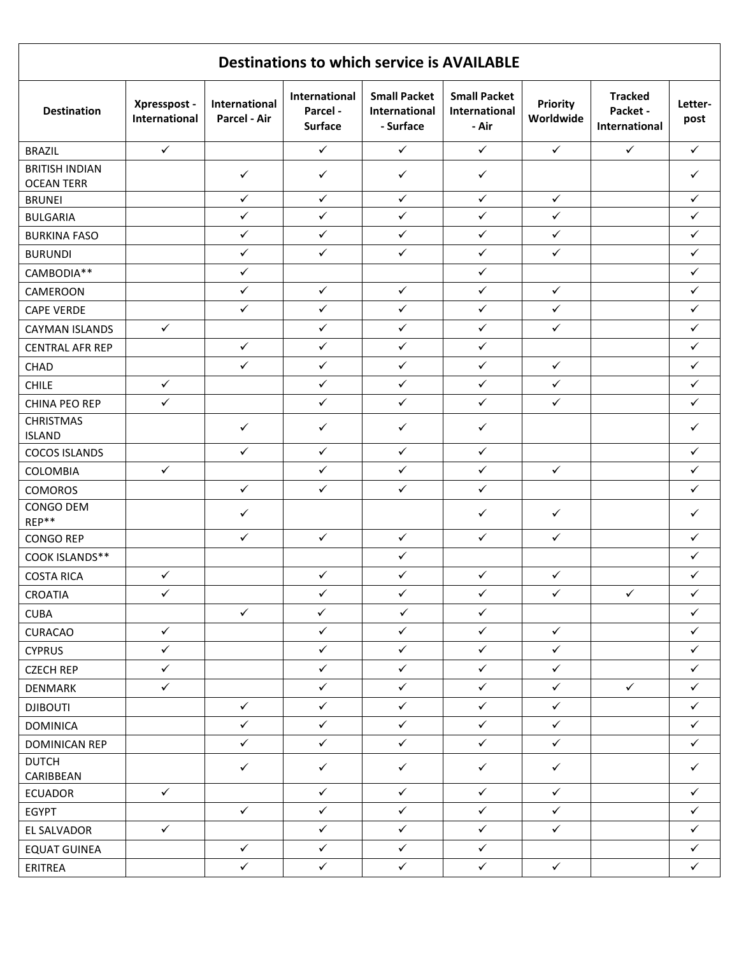|                                            |                               |                               |                                             | <b>Destinations to which service is AVAILABLE</b>        |                                               |                              |                                             |                 |
|--------------------------------------------|-------------------------------|-------------------------------|---------------------------------------------|----------------------------------------------------------|-----------------------------------------------|------------------------------|---------------------------------------------|-----------------|
| <b>Destination</b>                         | Xpresspost -<br>International | International<br>Parcel - Air | International<br>Parcel -<br><b>Surface</b> | <b>Small Packet</b><br><b>International</b><br>- Surface | <b>Small Packet</b><br>International<br>- Air | <b>Priority</b><br>Worldwide | <b>Tracked</b><br>Packet -<br>International | Letter-<br>post |
| <b>BRAZIL</b>                              | $\checkmark$                  |                               | $\checkmark$                                | $\checkmark$                                             | $\checkmark$                                  | $\checkmark$                 | $\checkmark$                                | $\checkmark$    |
| <b>BRITISH INDIAN</b><br><b>OCEAN TERR</b> |                               | $\checkmark$                  | $\checkmark$                                | $\checkmark$                                             | $\checkmark$                                  |                              |                                             | ✓               |
| <b>BRUNEI</b>                              |                               | ✓                             | ✓                                           | $\checkmark$                                             | ✓                                             | $\checkmark$                 |                                             | ✓               |
| <b>BULGARIA</b>                            |                               | $\checkmark$                  | $\checkmark$                                | ✓                                                        | $\checkmark$                                  | $\checkmark$                 |                                             | $\checkmark$    |
| <b>BURKINA FASO</b>                        |                               | $\checkmark$                  | $\checkmark$                                | $\checkmark$                                             | $\checkmark$                                  | $\checkmark$                 |                                             | $\checkmark$    |
| <b>BURUNDI</b>                             |                               | $\checkmark$                  | $\checkmark$                                | $\checkmark$                                             | $\checkmark$                                  | $\checkmark$                 |                                             | $\checkmark$    |
| CAMBODIA**                                 |                               | $\checkmark$                  |                                             |                                                          | $\checkmark$                                  |                              |                                             | $\checkmark$    |
| CAMEROON                                   |                               | $\checkmark$                  | $\checkmark$                                | $\checkmark$                                             | $\checkmark$                                  | $\checkmark$                 |                                             | $\checkmark$    |
| <b>CAPE VERDE</b>                          |                               | ✓                             | $\checkmark$                                | $\checkmark$                                             | ✓                                             | $\checkmark$                 |                                             | $\checkmark$    |
| <b>CAYMAN ISLANDS</b>                      | $\checkmark$                  |                               | $\checkmark$                                | $\checkmark$                                             | $\checkmark$                                  | $\checkmark$                 |                                             | $\checkmark$    |
| <b>CENTRAL AFR REP</b>                     |                               | $\checkmark$                  | $\checkmark$                                | $\checkmark$                                             | $\checkmark$                                  |                              |                                             | $\checkmark$    |
| <b>CHAD</b>                                |                               | $\checkmark$                  | $\checkmark$                                | $\checkmark$                                             | $\checkmark$                                  | $\checkmark$                 |                                             | $\checkmark$    |
| <b>CHILE</b>                               | $\checkmark$                  |                               | $\checkmark$                                | $\checkmark$                                             | $\checkmark$                                  | $\checkmark$                 |                                             | $\checkmark$    |
| CHINA PEO REP                              | $\checkmark$                  |                               | $\checkmark$                                | $\checkmark$                                             | $\checkmark$                                  | $\checkmark$                 |                                             | ✓               |
| <b>CHRISTMAS</b><br><b>ISLAND</b>          |                               | ✓                             | $\checkmark$                                | $\checkmark$                                             | $\checkmark$                                  |                              |                                             | $\checkmark$    |
| <b>COCOS ISLANDS</b>                       |                               | $\checkmark$                  | $\checkmark$                                | $\checkmark$                                             | $\checkmark$                                  |                              |                                             | $\checkmark$    |
| COLOMBIA                                   | $\checkmark$                  |                               | ✓                                           | $\checkmark$                                             | ✓                                             | $\checkmark$                 |                                             | $\checkmark$    |
| <b>COMOROS</b>                             |                               | $\checkmark$                  | $\checkmark$                                | $\checkmark$                                             | $\checkmark$                                  |                              |                                             | $\checkmark$    |
| CONGO DEM<br>REP**                         |                               | ✓                             |                                             |                                                          | ✓                                             | $\checkmark$                 |                                             | $\checkmark$    |
| <b>CONGO REP</b>                           |                               | $\checkmark$                  | $\checkmark$                                | $\checkmark$                                             | $\checkmark$                                  | $\checkmark$                 |                                             | $\checkmark$    |
| COOK ISLANDS**                             |                               |                               |                                             | $\checkmark$                                             |                                               |                              |                                             | $\checkmark$    |
| <b>COSTA RICA</b>                          | $\checkmark$                  |                               | $\checkmark$                                | $\checkmark$                                             | $\checkmark$                                  | $\checkmark$                 |                                             | ✓               |
| <b>CROATIA</b>                             | $\checkmark$                  |                               | $\checkmark$                                | $\checkmark$                                             | $\checkmark$                                  | $\checkmark$                 | $\checkmark$                                | $\checkmark$    |
| <b>CUBA</b>                                |                               | $\checkmark$                  | $\checkmark$                                | $\checkmark$                                             | $\checkmark$                                  |                              |                                             | $\checkmark$    |
| <b>CURACAO</b>                             | $\checkmark$                  |                               | $\checkmark$                                | $\checkmark$                                             | $\checkmark$                                  | $\checkmark$                 |                                             | $\checkmark$    |
| <b>CYPRUS</b>                              | $\checkmark$                  |                               | $\checkmark$                                | $\checkmark$                                             | $\checkmark$                                  | $\checkmark$                 |                                             | $\checkmark$    |
| <b>CZECH REP</b>                           | $\checkmark$                  |                               | $\checkmark$                                | $\checkmark$                                             | $\checkmark$                                  | $\checkmark$                 |                                             | $\checkmark$    |
| <b>DENMARK</b>                             | $\checkmark$                  |                               | $\checkmark$                                | $\checkmark$                                             | $\checkmark$                                  | $\checkmark$                 | $\checkmark$                                | $\checkmark$    |
| <b>DJIBOUTI</b>                            |                               | $\checkmark$                  | $\checkmark$                                | $\checkmark$                                             | $\checkmark$                                  | $\checkmark$                 |                                             | $\checkmark$    |
| <b>DOMINICA</b>                            |                               | $\checkmark$                  | $\checkmark$                                | $\checkmark$                                             | $\checkmark$                                  | $\checkmark$                 |                                             | $\checkmark$    |
| <b>DOMINICAN REP</b>                       |                               | $\checkmark$                  | $\checkmark$                                | $\checkmark$                                             | $\checkmark$                                  | $\checkmark$                 |                                             | $\checkmark$    |
| <b>DUTCH</b><br>CARIBBEAN                  |                               | $\checkmark$                  | $\checkmark$                                | $\checkmark$                                             | $\checkmark$                                  | $\checkmark$                 |                                             | $\checkmark$    |
| <b>ECUADOR</b>                             | $\checkmark$                  |                               | $\checkmark$                                | $\checkmark$                                             | $\checkmark$                                  | $\checkmark$                 |                                             | $\checkmark$    |
| <b>EGYPT</b>                               |                               | $\checkmark$                  | $\checkmark$                                | $\checkmark$                                             | $\checkmark$                                  | $\checkmark$                 |                                             | $\checkmark$    |
| EL SALVADOR                                | $\checkmark$                  |                               | $\checkmark$                                | $\checkmark$                                             | $\checkmark$                                  | $\checkmark$                 |                                             | $\checkmark$    |
| <b>EQUAT GUINEA</b>                        |                               | $\checkmark$                  | $\checkmark$                                | $\checkmark$                                             | $\checkmark$                                  |                              |                                             | $\checkmark$    |
| ERITREA                                    |                               | $\checkmark$                  | $\checkmark$                                | $\checkmark$                                             | $\checkmark$                                  | $\checkmark$                 |                                             | $\checkmark$    |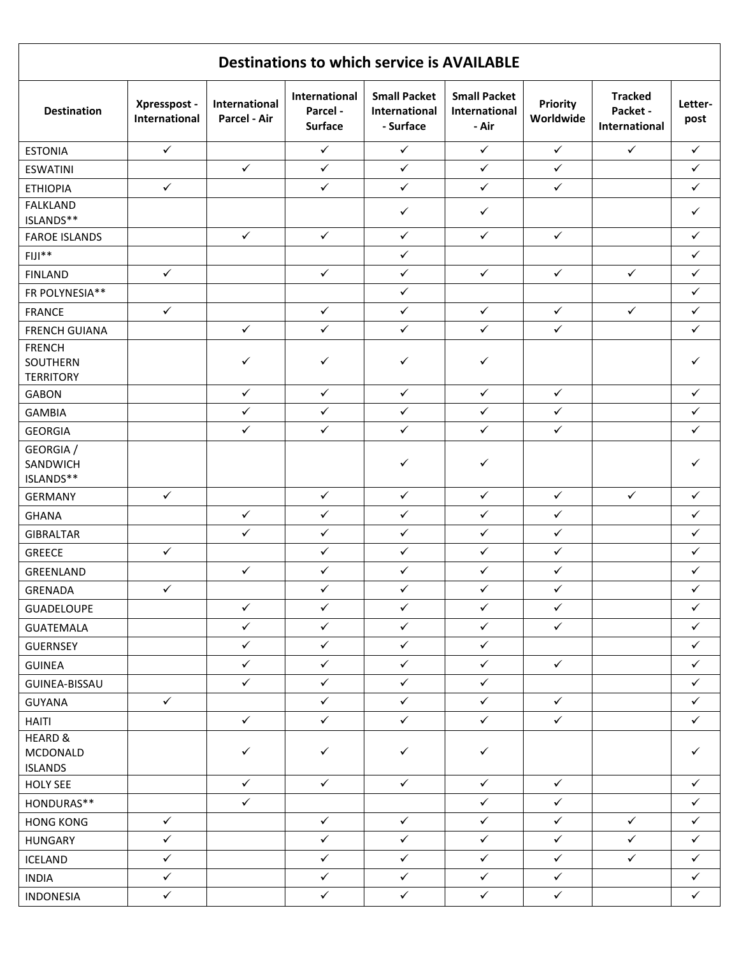| <b>Destinations to which service is AVAILABLE</b> |                               |                               |                                             |                                                   |                                               |                              |                                             |                 |  |  |
|---------------------------------------------------|-------------------------------|-------------------------------|---------------------------------------------|---------------------------------------------------|-----------------------------------------------|------------------------------|---------------------------------------------|-----------------|--|--|
| <b>Destination</b>                                | Xpresspost -<br>International | International<br>Parcel - Air | International<br>Parcel -<br><b>Surface</b> | <b>Small Packet</b><br>International<br>- Surface | <b>Small Packet</b><br>International<br>- Air | <b>Priority</b><br>Worldwide | <b>Tracked</b><br>Packet -<br>International | Letter-<br>post |  |  |
| <b>ESTONIA</b>                                    | $\checkmark$                  |                               | $\checkmark$                                | $\checkmark$                                      | $\checkmark$                                  | $\checkmark$                 | $\checkmark$                                | $\checkmark$    |  |  |
| <b>ESWATINI</b>                                   |                               | $\checkmark$                  | $\checkmark$                                | $\checkmark$                                      | $\checkmark$                                  | $\checkmark$                 |                                             | $\checkmark$    |  |  |
| <b>ETHIOPIA</b>                                   | $\checkmark$                  |                               | $\checkmark$                                | $\checkmark$                                      | $\checkmark$                                  | $\checkmark$                 |                                             | $\checkmark$    |  |  |
| <b>FALKLAND</b><br>ISLANDS**                      |                               |                               |                                             | $\checkmark$                                      | $\checkmark$                                  |                              |                                             | $\checkmark$    |  |  |
| <b>FAROE ISLANDS</b>                              |                               | $\checkmark$                  | $\checkmark$                                | $\checkmark$                                      | $\checkmark$                                  | $\checkmark$                 |                                             | $\checkmark$    |  |  |
| $FIJI**$                                          |                               |                               |                                             | $\checkmark$                                      |                                               |                              |                                             | $\checkmark$    |  |  |
| <b>FINLAND</b>                                    | $\checkmark$                  |                               | $\checkmark$                                | $\checkmark$                                      | $\checkmark$                                  | $\checkmark$                 | $\checkmark$                                | $\checkmark$    |  |  |
| FR POLYNESIA**                                    |                               |                               |                                             | $\checkmark$                                      |                                               |                              |                                             | $\checkmark$    |  |  |
| <b>FRANCE</b>                                     | $\checkmark$                  |                               | $\checkmark$                                | $\checkmark$                                      | $\checkmark$                                  | $\checkmark$                 | $\checkmark$                                | $\checkmark$    |  |  |
| <b>FRENCH GUIANA</b>                              |                               | $\checkmark$                  | $\checkmark$                                | $\checkmark$                                      | $\checkmark$                                  | $\checkmark$                 |                                             | $\checkmark$    |  |  |
| <b>FRENCH</b><br>SOUTHERN<br><b>TERRITORY</b>     |                               | $\checkmark$                  | $\checkmark$                                | $\checkmark$                                      | $\checkmark$                                  |                              |                                             | ✓               |  |  |
| <b>GABON</b>                                      |                               | $\checkmark$                  | $\checkmark$                                | $\checkmark$                                      | $\checkmark$                                  | $\checkmark$                 |                                             | $\checkmark$    |  |  |
| <b>GAMBIA</b>                                     |                               | $\checkmark$                  | $\checkmark$                                | $\checkmark$                                      | $\checkmark$                                  | $\checkmark$                 |                                             | $\checkmark$    |  |  |
| <b>GEORGIA</b>                                    |                               | $\checkmark$                  | $\checkmark$                                | $\checkmark$                                      | $\checkmark$                                  | $\checkmark$                 |                                             | $\checkmark$    |  |  |
| GEORGIA /<br>SANDWICH<br>ISLANDS**                |                               |                               |                                             | $\checkmark$                                      | $\checkmark$                                  |                              |                                             | ✓               |  |  |
| <b>GERMANY</b>                                    | $\checkmark$                  |                               | $\checkmark$                                | $\checkmark$                                      | $\checkmark$                                  | $\checkmark$                 | $\checkmark$                                | $\checkmark$    |  |  |
| <b>GHANA</b>                                      |                               | $\checkmark$                  | $\checkmark$                                | $\checkmark$                                      | $\checkmark$                                  | $\checkmark$                 |                                             | $\checkmark$    |  |  |
| <b>GIBRALTAR</b>                                  |                               | $\checkmark$                  | $\checkmark$                                | $\checkmark$                                      | $\checkmark$                                  | $\checkmark$                 |                                             | $\checkmark$    |  |  |
| <b>GREECE</b>                                     | $\checkmark$                  |                               | $\checkmark$                                | $\checkmark$                                      | $\checkmark$                                  | $\checkmark$                 |                                             | $\checkmark$    |  |  |
| GREENLAND                                         |                               | $\checkmark$                  | $\checkmark$                                | $\checkmark$                                      | $\checkmark$                                  | $\checkmark$                 |                                             | $\checkmark$    |  |  |
| GRENADA                                           | $\sqrt{2}$                    |                               | $\checkmark$                                | $\checkmark$                                      | $\checkmark$                                  | $\checkmark$                 |                                             | $\checkmark$    |  |  |
| <b>GUADELOUPE</b>                                 |                               | $\checkmark$                  | $\checkmark$                                | $\checkmark$                                      | $\checkmark$                                  | $\checkmark$                 |                                             | $\checkmark$    |  |  |
| <b>GUATEMALA</b>                                  |                               | $\checkmark$                  | $\checkmark$                                | $\checkmark$                                      | $\checkmark$                                  | $\checkmark$                 |                                             | $\checkmark$    |  |  |
| <b>GUERNSEY</b>                                   |                               | $\checkmark$                  | $\checkmark$                                | $\checkmark$                                      | $\checkmark$                                  |                              |                                             | $\checkmark$    |  |  |
| <b>GUINEA</b>                                     |                               | $\checkmark$                  | $\checkmark$                                | $\checkmark$                                      | $\checkmark$                                  | $\checkmark$                 |                                             | $\checkmark$    |  |  |
| GUINEA-BISSAU                                     |                               | $\checkmark$                  | $\checkmark$                                | $\checkmark$                                      | $\checkmark$                                  |                              |                                             | $\checkmark$    |  |  |
| <b>GUYANA</b>                                     | $\checkmark$                  |                               | $\checkmark$                                | $\checkmark$                                      | $\checkmark$                                  | $\checkmark$                 |                                             | $\checkmark$    |  |  |
| <b>HAITI</b>                                      |                               | $\checkmark$                  | $\checkmark$                                | $\checkmark$                                      | $\checkmark$                                  | $\checkmark$                 |                                             | $\checkmark$    |  |  |
| <b>HEARD &amp;</b><br>MCDONALD<br><b>ISLANDS</b>  |                               | $\checkmark$                  | $\checkmark$                                | $\checkmark$                                      | $\checkmark$                                  |                              |                                             | ✓               |  |  |
| <b>HOLY SEE</b>                                   |                               | $\checkmark$                  | $\checkmark$                                | $\checkmark$                                      | $\checkmark$                                  | $\checkmark$                 |                                             | $\checkmark$    |  |  |
| HONDURAS**                                        |                               | $\checkmark$                  |                                             |                                                   | $\checkmark$                                  | $\checkmark$                 |                                             | $\checkmark$    |  |  |
| <b>HONG KONG</b>                                  | $\checkmark$                  |                               | $\checkmark$                                | $\checkmark$                                      | $\checkmark$                                  | $\checkmark$                 | $\checkmark$                                | $\checkmark$    |  |  |
| <b>HUNGARY</b>                                    | $\checkmark$                  |                               | $\checkmark$                                | $\checkmark$                                      | $\checkmark$                                  | $\checkmark$                 | $\checkmark$                                | $\checkmark$    |  |  |
| ICELAND                                           | $\checkmark$                  |                               | $\checkmark$                                | $\checkmark$                                      | $\checkmark$                                  | $\checkmark$                 | $\checkmark$                                | $\checkmark$    |  |  |
| <b>INDIA</b>                                      | $\checkmark$                  |                               | $\checkmark$                                | $\checkmark$                                      | $\checkmark$                                  | $\checkmark$                 |                                             | $\checkmark$    |  |  |
| <b>INDONESIA</b>                                  | $\checkmark$                  |                               | $\checkmark$                                | $\checkmark$                                      | $\checkmark$                                  | $\checkmark$                 |                                             | $\checkmark$    |  |  |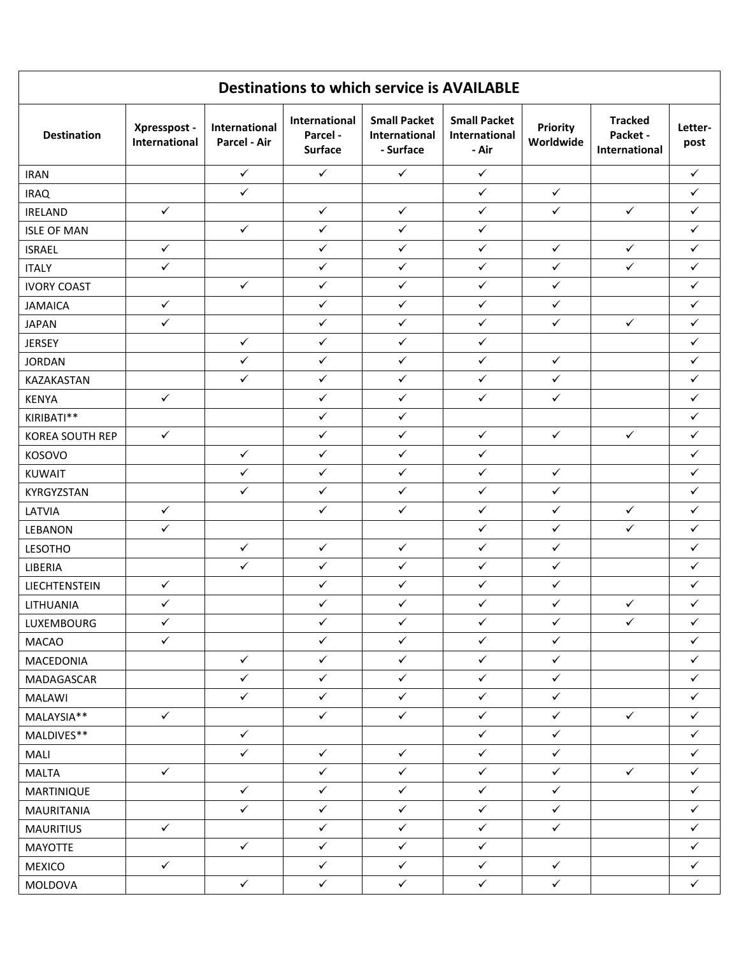| <b>Destinations to which service is AVAILABLE</b> |                               |                               |                                                    |                                                   |                                               |                              |                                             |                 |
|---------------------------------------------------|-------------------------------|-------------------------------|----------------------------------------------------|---------------------------------------------------|-----------------------------------------------|------------------------------|---------------------------------------------|-----------------|
| <b>Destination</b>                                | Xpresspost -<br>International | International<br>Parcel - Air | <b>International</b><br>Parcel -<br><b>Surface</b> | <b>Small Packet</b><br>International<br>- Surface | <b>Small Packet</b><br>International<br>- Air | <b>Priority</b><br>Worldwide | <b>Tracked</b><br>Packet -<br>International | Letter-<br>post |
| <b>IRAN</b>                                       |                               | $\checkmark$                  | $\checkmark$                                       | $\checkmark$                                      | $\checkmark$                                  |                              |                                             | $\checkmark$    |
| <b>IRAQ</b>                                       |                               | $\checkmark$                  |                                                    |                                                   | $\checkmark$                                  | $\checkmark$                 |                                             | $\checkmark$    |
| <b>IRELAND</b>                                    | $\checkmark$                  |                               | $\checkmark$                                       | $\checkmark$                                      | $\checkmark$                                  | $\checkmark$                 | $\checkmark$                                | $\checkmark$    |
| <b>ISLE OF MAN</b>                                |                               | $\checkmark$                  | $\checkmark$                                       | $\checkmark$                                      | $\checkmark$                                  |                              |                                             | $\checkmark$    |
| <b>ISRAEL</b>                                     | $\checkmark$                  |                               | $\checkmark$                                       | $\checkmark$                                      | $\checkmark$                                  | $\checkmark$                 | $\checkmark$                                | $\checkmark$    |
| <b>ITALY</b>                                      | ✓                             |                               | $\checkmark$                                       | $\checkmark$                                      | $\checkmark$                                  | $\checkmark$                 | $\checkmark$                                | $\checkmark$    |
| <b>IVORY COAST</b>                                |                               | $\checkmark$                  | $\checkmark$                                       | $\checkmark$                                      | $\checkmark$                                  | $\checkmark$                 |                                             | $\checkmark$    |
| <b>JAMAICA</b>                                    | $\checkmark$                  |                               | $\checkmark$                                       | $\checkmark$                                      | $\checkmark$                                  | $\checkmark$                 |                                             | $\checkmark$    |
| <b>JAPAN</b>                                      | $\checkmark$                  |                               | $\checkmark$                                       | $\checkmark$                                      | $\checkmark$                                  | $\checkmark$                 | $\checkmark$                                | $\checkmark$    |
| <b>JERSEY</b>                                     |                               | $\checkmark$                  | $\checkmark$                                       | $\checkmark$                                      | $\checkmark$                                  |                              |                                             | $\checkmark$    |
| <b>JORDAN</b>                                     |                               | $\checkmark$                  | $\checkmark$                                       | $\checkmark$                                      | $\checkmark$                                  | $\checkmark$                 |                                             | $\checkmark$    |
| KAZAKASTAN                                        |                               | $\checkmark$                  | $\checkmark$                                       | $\checkmark$                                      | $\checkmark$                                  | $\checkmark$                 |                                             | ✓               |
| <b>KENYA</b>                                      | $\checkmark$                  |                               | $\checkmark$                                       | $\checkmark$                                      | $\checkmark$                                  | $\checkmark$                 |                                             | $\checkmark$    |
| KIRIBATI**                                        |                               |                               | $\checkmark$                                       | $\checkmark$                                      |                                               |                              |                                             | $\checkmark$    |
| KOREA SOUTH REP                                   | $\checkmark$                  |                               | $\checkmark$                                       | $\checkmark$                                      | $\checkmark$                                  | $\checkmark$                 | $\checkmark$                                | $\checkmark$    |
| KOSOVO                                            |                               | $\checkmark$                  | $\checkmark$                                       | $\checkmark$                                      | $\checkmark$                                  |                              |                                             | $\checkmark$    |
| <b>KUWAIT</b>                                     |                               | $\checkmark$                  | $\checkmark$                                       | $\checkmark$                                      | $\checkmark$                                  | $\checkmark$                 |                                             | $\checkmark$    |
| KYRGYZSTAN                                        |                               | ✓                             | $\checkmark$                                       | $\checkmark$                                      | $\checkmark$                                  | $\checkmark$                 |                                             | $\checkmark$    |
| LATVIA                                            | $\checkmark$                  |                               | $\checkmark$                                       | $\checkmark$                                      | $\checkmark$                                  | $\checkmark$                 | $\checkmark$                                | $\checkmark$    |
| LEBANON                                           | $\checkmark$                  |                               |                                                    |                                                   | $\checkmark$                                  | $\checkmark$                 | $\checkmark$                                | $\checkmark$    |
| <b>LESOTHO</b>                                    |                               | $\checkmark$                  | $\checkmark$                                       | $\checkmark$                                      | $\checkmark$                                  | $\checkmark$                 |                                             | $\checkmark$    |
| LIBERIA                                           |                               | $\checkmark$                  | $\checkmark$                                       | $\checkmark$                                      | $\checkmark$                                  | $\checkmark$                 |                                             | $\checkmark$    |
| LIECHTENSTEIN                                     | $\checkmark$                  |                               | $\checkmark$                                       | $\checkmark$                                      | $\checkmark$                                  | $\checkmark$                 |                                             | $\checkmark$    |
| LITHUANIA                                         | $\checkmark$                  |                               | $\checkmark$                                       | $\checkmark$                                      | $\checkmark$                                  | $\checkmark$                 | $\checkmark$                                | $\checkmark$    |
| LUXEMBOURG                                        | $\checkmark$                  |                               | $\checkmark$                                       | $\checkmark$                                      | $\checkmark$                                  | $\checkmark$                 | $\checkmark$                                | $\checkmark$    |
| <b>MACAO</b>                                      | $\checkmark$                  |                               | $\checkmark$                                       | $\checkmark$                                      | $\checkmark$                                  | $\checkmark$                 |                                             | $\checkmark$    |
| MACEDONIA                                         |                               | $\checkmark$                  | $\checkmark$                                       | $\checkmark$                                      | $\checkmark$                                  | $\checkmark$                 |                                             | $\checkmark$    |
| MADAGASCAR                                        |                               | $\checkmark$                  | $\checkmark$                                       | $\checkmark$                                      | $\checkmark$                                  | $\checkmark$                 |                                             | $\checkmark$    |
| <b>MALAWI</b>                                     |                               | $\checkmark$                  | $\checkmark$                                       | $\checkmark$                                      | $\checkmark$                                  | $\checkmark$                 |                                             | $\checkmark$    |
| MALAYSIA**                                        | $\checkmark$                  |                               | $\checkmark$                                       | $\checkmark$                                      | $\checkmark$                                  | $\checkmark$                 | $\checkmark$                                | $\checkmark$    |
| MALDIVES**                                        |                               | $\checkmark$                  |                                                    |                                                   | $\checkmark$                                  | $\checkmark$                 |                                             | $\checkmark$    |
| MALI                                              |                               | $\checkmark$                  | $\checkmark$                                       | $\checkmark$                                      | $\checkmark$                                  | $\checkmark$                 |                                             | $\checkmark$    |
| <b>MALTA</b>                                      | $\checkmark$                  |                               | $\checkmark$                                       | $\checkmark$                                      | $\checkmark$                                  | $\checkmark$                 | $\checkmark$                                | $\checkmark$    |
| MARTINIQUE                                        |                               | $\checkmark$                  | $\checkmark$                                       | $\checkmark$                                      | $\checkmark$                                  | $\checkmark$                 |                                             | $\checkmark$    |
| MAURITANIA                                        |                               | $\checkmark$                  | $\checkmark$                                       | $\checkmark$                                      | $\checkmark$                                  | $\checkmark$                 |                                             | $\checkmark$    |
| <b>MAURITIUS</b>                                  | $\checkmark$                  |                               | $\checkmark$                                       | $\checkmark$                                      | $\checkmark$                                  | $\checkmark$                 |                                             | $\checkmark$    |
| <b>MAYOTTE</b>                                    |                               | $\checkmark$                  | $\checkmark$                                       | $\checkmark$                                      | $\checkmark$                                  |                              |                                             | $\checkmark$    |
| <b>MEXICO</b>                                     | $\checkmark$                  |                               | $\checkmark$                                       | $\checkmark$                                      | $\checkmark$                                  | $\checkmark$                 |                                             | $\checkmark$    |
| MOLDOVA                                           |                               | $\checkmark$                  | $\checkmark$                                       | $\checkmark$                                      | $\checkmark$                                  | $\checkmark$                 |                                             | $\checkmark$    |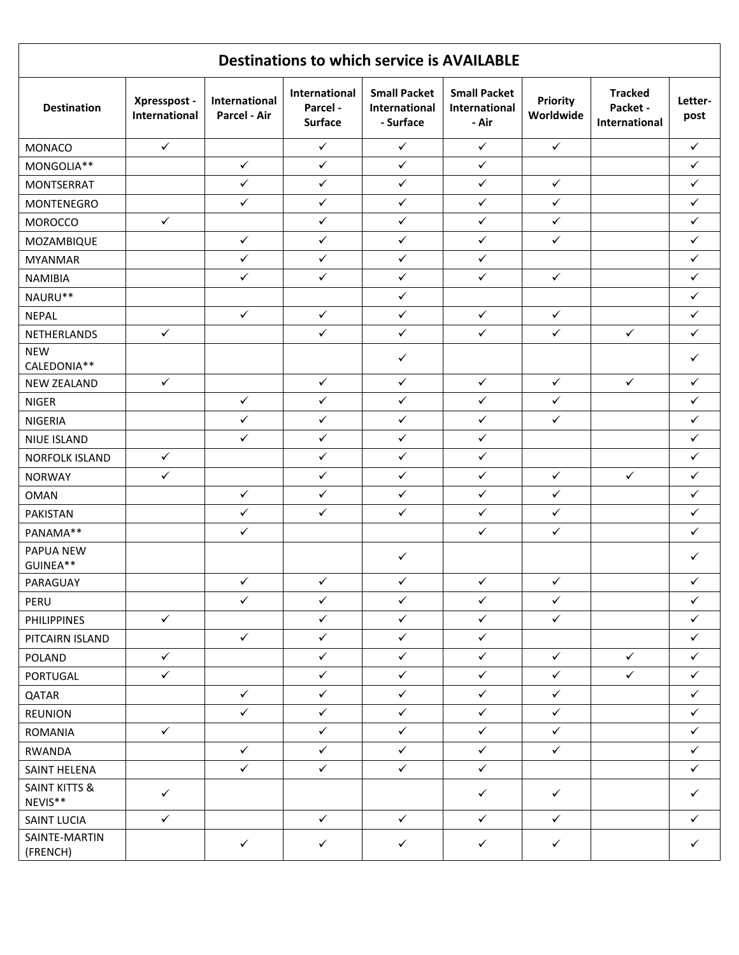| <b>Destinations to which service is AVAILABLE</b> |                               |                               |                                             |                                                   |                                               |                              |                                             |                 |
|---------------------------------------------------|-------------------------------|-------------------------------|---------------------------------------------|---------------------------------------------------|-----------------------------------------------|------------------------------|---------------------------------------------|-----------------|
| <b>Destination</b>                                | Xpresspost -<br>International | International<br>Parcel - Air | International<br>Parcel -<br><b>Surface</b> | <b>Small Packet</b><br>International<br>- Surface | <b>Small Packet</b><br>International<br>- Air | <b>Priority</b><br>Worldwide | <b>Tracked</b><br>Packet -<br>International | Letter-<br>post |
| <b>MONACO</b>                                     | $\checkmark$                  |                               | $\checkmark$                                | $\checkmark$                                      | $\checkmark$                                  | $\checkmark$                 |                                             | $\checkmark$    |
| MONGOLIA**                                        |                               | $\checkmark$                  | $\checkmark$                                | $\checkmark$                                      | $\checkmark$                                  |                              |                                             | $\checkmark$    |
| MONTSERRAT                                        |                               | $\checkmark$                  | $\checkmark$                                | $\checkmark$                                      | $\checkmark$                                  | $\checkmark$                 |                                             | $\checkmark$    |
| MONTENEGRO                                        |                               | $\checkmark$                  | $\checkmark$                                | $\checkmark$                                      | $\checkmark$                                  | $\checkmark$                 |                                             | $\checkmark$    |
| <b>MOROCCO</b>                                    | $\checkmark$                  |                               | $\checkmark$                                | $\checkmark$                                      | $\checkmark$                                  | $\checkmark$                 |                                             | $\checkmark$    |
| MOZAMBIQUE                                        |                               | $\checkmark$                  | $\checkmark$                                | $\checkmark$                                      | $\checkmark$                                  | $\checkmark$                 |                                             | ✓               |
| <b>MYANMAR</b>                                    |                               | $\checkmark$                  | $\checkmark$                                | $\checkmark$                                      | $\checkmark$                                  |                              |                                             | $\checkmark$    |
| <b>NAMIBIA</b>                                    |                               | $\checkmark$                  | $\checkmark$                                | $\checkmark$                                      | $\checkmark$                                  | $\checkmark$                 |                                             | $\checkmark$    |
| NAURU**                                           |                               |                               |                                             | $\checkmark$                                      |                                               |                              |                                             | ✓               |
| <b>NEPAL</b>                                      |                               | $\checkmark$                  | $\checkmark$                                | $\checkmark$                                      | $\checkmark$                                  | $\checkmark$                 |                                             | ✓               |
| NETHERLANDS                                       | $\checkmark$                  |                               | $\checkmark$                                | $\checkmark$                                      | $\checkmark$                                  | $\checkmark$                 | $\checkmark$                                | $\checkmark$    |
| <b>NEW</b><br>CALEDONIA**                         |                               |                               |                                             | $\checkmark$                                      |                                               |                              |                                             | ✓               |
| <b>NEW ZEALAND</b>                                | $\checkmark$                  |                               | $\checkmark$                                | $\checkmark$                                      | $\checkmark$                                  | $\checkmark$                 | $\checkmark$                                | $\checkmark$    |
| <b>NIGER</b>                                      |                               | $\checkmark$                  | $\checkmark$                                | $\checkmark$                                      | $\checkmark$                                  | $\checkmark$                 |                                             | ✓               |
| <b>NIGERIA</b>                                    |                               | $\checkmark$                  | $\checkmark$                                | $\checkmark$                                      | $\checkmark$                                  | $\checkmark$                 |                                             | $\checkmark$    |
| NIUE ISLAND                                       |                               | $\checkmark$                  | $\checkmark$                                | $\checkmark$                                      | $\checkmark$                                  |                              |                                             | $\checkmark$    |
| <b>NORFOLK ISLAND</b>                             | $\checkmark$                  |                               | $\checkmark$                                | $\checkmark$                                      | $\checkmark$                                  |                              |                                             | $\checkmark$    |
| <b>NORWAY</b>                                     | $\checkmark$                  |                               | $\checkmark$                                | $\checkmark$                                      | $\checkmark$                                  | $\checkmark$                 | $\checkmark$                                | $\checkmark$    |
| <b>OMAN</b>                                       |                               | $\checkmark$                  | $\checkmark$                                | $\checkmark$                                      | $\checkmark$                                  | $\checkmark$                 |                                             | $\checkmark$    |
| PAKISTAN                                          |                               | $\checkmark$                  | $\checkmark$                                | $\checkmark$                                      | $\checkmark$                                  | $\checkmark$                 |                                             | $\checkmark$    |
| PANAMA**                                          |                               | $\checkmark$                  |                                             |                                                   | $\checkmark$                                  | $\checkmark$                 |                                             | $\checkmark$    |
| PAPUA NEW<br>GUINEA**                             |                               |                               |                                             | $\checkmark$                                      |                                               |                              |                                             | ✓               |
| PARAGUAY                                          |                               | $\checkmark$                  | $\checkmark$                                | $\checkmark$                                      | $\checkmark$                                  | $\checkmark$                 |                                             | $\checkmark$    |
| PERU                                              |                               | $\checkmark$                  | $\checkmark$                                | $\checkmark$                                      | $\checkmark$                                  | $\checkmark$                 |                                             | $\checkmark$    |
| <b>PHILIPPINES</b>                                | $\checkmark$                  |                               | $\checkmark$                                | $\checkmark$                                      | $\checkmark$                                  | $\checkmark$                 |                                             | $\checkmark$    |
| PITCAIRN ISLAND                                   |                               | $\checkmark$                  | $\checkmark$                                | $\checkmark$                                      | $\checkmark$                                  |                              |                                             | $\checkmark$    |
| POLAND                                            | $\checkmark$                  |                               | $\checkmark$                                | $\checkmark$                                      | $\checkmark$                                  | $\checkmark$                 | $\checkmark$                                | $\checkmark$    |
| PORTUGAL                                          | $\checkmark$                  |                               | $\checkmark$                                | $\checkmark$                                      | $\checkmark$                                  | $\checkmark$                 | $\checkmark$                                | $\checkmark$    |
| QATAR                                             |                               | $\checkmark$                  | $\checkmark$                                | $\checkmark$                                      | $\checkmark$                                  | $\checkmark$                 |                                             | $\checkmark$    |
| <b>REUNION</b>                                    |                               | $\checkmark$                  | $\checkmark$                                | $\checkmark$                                      | $\checkmark$                                  | $\checkmark$                 |                                             | $\checkmark$    |
| <b>ROMANIA</b>                                    | $\checkmark$                  |                               | $\checkmark$                                | $\checkmark$                                      | $\checkmark$                                  | $\checkmark$                 |                                             | $\checkmark$    |
| RWANDA                                            |                               | $\checkmark$                  | $\checkmark$                                | $\checkmark$                                      | $\checkmark$                                  | $\checkmark$                 |                                             | ✓               |
| SAINT HELENA                                      |                               | $\checkmark$                  | $\checkmark$                                | $\checkmark$                                      | $\checkmark$                                  |                              |                                             | $\checkmark$    |
| <b>SAINT KITTS &amp;</b><br>NEVIS**               | $\checkmark$                  |                               |                                             |                                                   | $\checkmark$                                  | $\checkmark$                 |                                             | ✓               |
| SAINT LUCIA                                       | $\checkmark$                  |                               | $\checkmark$                                | $\checkmark$                                      | $\checkmark$                                  | $\checkmark$                 |                                             | ✓               |
| SAINTE-MARTIN<br>(FRENCH)                         |                               | $\checkmark$                  | $\checkmark$                                | $\checkmark$                                      | $\checkmark$                                  | $\checkmark$                 |                                             | ✓               |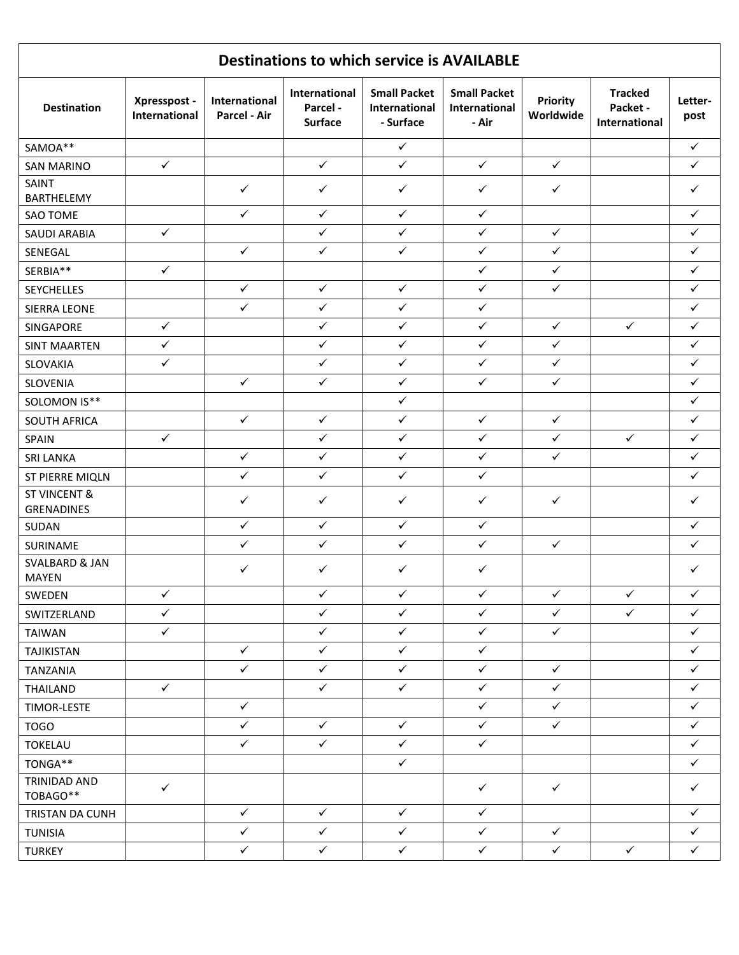| <b>Destinations to which service is AVAILABLE</b> |                               |                               |                                             |                                                   |                                               |                              |                                             |                 |
|---------------------------------------------------|-------------------------------|-------------------------------|---------------------------------------------|---------------------------------------------------|-----------------------------------------------|------------------------------|---------------------------------------------|-----------------|
| <b>Destination</b>                                | Xpresspost -<br>International | International<br>Parcel - Air | International<br>Parcel -<br><b>Surface</b> | <b>Small Packet</b><br>International<br>- Surface | <b>Small Packet</b><br>International<br>- Air | <b>Priority</b><br>Worldwide | <b>Tracked</b><br>Packet -<br>International | Letter-<br>post |
| SAMOA**                                           |                               |                               |                                             | $\checkmark$                                      |                                               |                              |                                             | $\checkmark$    |
| <b>SAN MARINO</b>                                 | $\checkmark$                  |                               | $\checkmark$                                | $\checkmark$                                      | $\checkmark$                                  | $\checkmark$                 |                                             | ✓               |
| <b>SAINT</b><br>BARTHELEMY                        |                               | $\checkmark$                  | $\checkmark$                                | $\checkmark$                                      | $\checkmark$                                  | $\checkmark$                 |                                             | ✓               |
| <b>SAO TOME</b>                                   |                               | $\checkmark$                  | $\checkmark$                                | $\checkmark$                                      | $\checkmark$                                  |                              |                                             | $\checkmark$    |
| <b>SAUDI ARABIA</b>                               | $\checkmark$                  |                               | $\checkmark$                                | $\checkmark$                                      | $\checkmark$                                  | $\checkmark$                 |                                             | $\checkmark$    |
| SENEGAL                                           |                               | $\checkmark$                  | $\checkmark$                                | $\checkmark$                                      | $\checkmark$                                  | $\checkmark$                 |                                             | ✓               |
| SERBIA**                                          | $\checkmark$                  |                               |                                             |                                                   | $\checkmark$                                  | $\checkmark$                 |                                             | ✓               |
| <b>SEYCHELLES</b>                                 |                               | $\checkmark$                  | $\checkmark$                                | $\checkmark$                                      | $\checkmark$                                  | $\checkmark$                 |                                             | $\checkmark$    |
| SIERRA LEONE                                      |                               | $\checkmark$                  | $\checkmark$                                | $\checkmark$                                      | $\checkmark$                                  |                              |                                             | ✓               |
| SINGAPORE                                         | $\checkmark$                  |                               | $\checkmark$                                | $\checkmark$                                      | $\checkmark$                                  | $\checkmark$                 | $\checkmark$                                | $\checkmark$    |
| <b>SINT MAARTEN</b>                               | $\checkmark$                  |                               | $\checkmark$                                | $\checkmark$                                      | $\checkmark$                                  | $\checkmark$                 |                                             | $\checkmark$    |
| SLOVAKIA                                          | $\checkmark$                  |                               | $\checkmark$                                | $\checkmark$                                      | $\checkmark$                                  | $\checkmark$                 |                                             | $\checkmark$    |
| SLOVENIA                                          |                               | $\checkmark$                  | $\checkmark$                                | $\checkmark$                                      | $\checkmark$                                  | ✓                            |                                             | $\checkmark$    |
| SOLOMON IS**                                      |                               |                               |                                             | $\checkmark$                                      |                                               |                              |                                             | $\checkmark$    |
| SOUTH AFRICA                                      |                               | $\checkmark$                  | $\checkmark$                                | $\checkmark$                                      | $\checkmark$                                  | $\checkmark$                 |                                             | $\checkmark$    |
| <b>SPAIN</b>                                      | $\checkmark$                  |                               | $\checkmark$                                | $\checkmark$                                      | $\checkmark$                                  | $\checkmark$                 | $\checkmark$                                | $\checkmark$    |
| <b>SRI LANKA</b>                                  |                               | $\checkmark$                  | $\checkmark$                                | $\checkmark$                                      | $\checkmark$                                  | $\checkmark$                 |                                             | ✓               |
| ST PIERRE MIQLN                                   |                               | $\checkmark$                  | $\checkmark$                                | $\checkmark$                                      | $\checkmark$                                  |                              |                                             | $\checkmark$    |
| <b>ST VINCENT &amp;</b><br>GRENADINES             |                               | ✓                             | $\checkmark$                                | ✓                                                 | $\checkmark$                                  | $\checkmark$                 |                                             | ✓               |
| SUDAN                                             |                               | $\checkmark$                  | $\checkmark$                                | $\checkmark$                                      | $\checkmark$                                  |                              |                                             | $\checkmark$    |
| SURINAME                                          |                               | $\checkmark$                  | $\checkmark$                                | $\checkmark$                                      | $\checkmark$                                  | $\checkmark$                 |                                             | ✓               |
| <b>SVALBARD &amp; JAN</b><br><b>MAYEN</b>         |                               | $\checkmark$                  | ✓                                           | ✓                                                 | $\checkmark$                                  |                              |                                             | ✓               |
| SWEDEN                                            | $\checkmark$                  |                               | $\checkmark$                                | $\checkmark$                                      | $\checkmark$                                  | $\checkmark$                 | $\checkmark$                                | $\checkmark$    |
| SWITZERLAND                                       | $\checkmark$                  |                               | $\checkmark$                                | $\checkmark$                                      | $\checkmark$                                  | $\checkmark$                 | $\checkmark$                                | $\checkmark$    |
| <b>TAIWAN</b>                                     | $\checkmark$                  |                               | $\checkmark$                                | $\checkmark$                                      | $\checkmark$                                  | $\checkmark$                 |                                             | $\checkmark$    |
| TAJIKISTAN                                        |                               | $\checkmark$                  | $\checkmark$                                | $\checkmark$                                      | $\checkmark$                                  |                              |                                             | $\checkmark$    |
| TANZANIA                                          |                               | $\checkmark$                  | $\checkmark$                                | $\checkmark$                                      | $\checkmark$                                  | $\checkmark$                 |                                             | $\checkmark$    |
| THAILAND                                          | $\checkmark$                  |                               | $\checkmark$                                | $\checkmark$                                      | $\checkmark$                                  | $\checkmark$                 |                                             | $\checkmark$    |
| <b>TIMOR-LESTE</b>                                |                               | $\checkmark$                  |                                             |                                                   | $\checkmark$                                  | $\checkmark$                 |                                             | $\checkmark$    |
| <b>TOGO</b>                                       |                               | $\checkmark$                  | $\checkmark$                                | $\checkmark$                                      | $\checkmark$                                  | $\checkmark$                 |                                             | ✓               |
| <b>TOKELAU</b>                                    |                               | $\checkmark$                  | $\checkmark$                                | $\checkmark$                                      | $\checkmark$                                  |                              |                                             | $\checkmark$    |
| TONGA**                                           |                               |                               |                                             | $\checkmark$                                      |                                               |                              |                                             | $\checkmark$    |
| TRINIDAD AND<br>TOBAGO**                          | $\checkmark$                  |                               |                                             |                                                   | $\checkmark$                                  | $\checkmark$                 |                                             | $\checkmark$    |
| TRISTAN DA CUNH                                   |                               | $\checkmark$                  | $\checkmark$                                | $\checkmark$                                      | $\checkmark$                                  |                              |                                             | ✓               |
| <b>TUNISIA</b>                                    |                               | $\checkmark$                  | $\checkmark$                                | $\checkmark$                                      | $\checkmark$                                  | $\checkmark$                 |                                             | $\checkmark$    |
| <b>TURKEY</b>                                     |                               | $\checkmark$                  | $\checkmark$                                | $\checkmark$                                      | $\checkmark$                                  | $\checkmark$                 | $\checkmark$                                | $\checkmark$    |
|                                                   |                               |                               |                                             |                                                   |                                               |                              |                                             |                 |